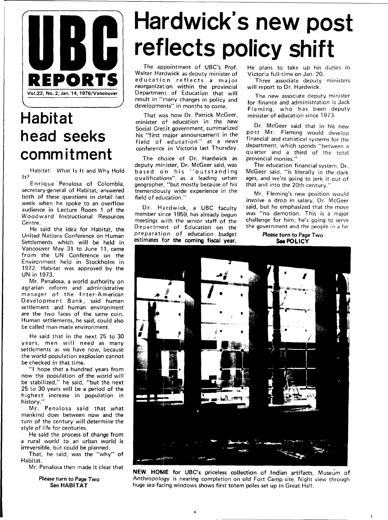

# **Habitat head seeks commitment**

Habitat: What Is It and Why Hold It?

Enrique Penalosa of Colombia. secretary-general of Habitat, answered both of these questions in detail last week when he spoke to an overflow audience in Lecture Room 1 of the Woodward Instructional Resources Centre.

He said the idea for Habitat, the United Nations Conference on Human Settlements which will be held in Vancouver May 31 to June 11, came from the UN Conference on the Environment held in Stockholm in 1972. Habitat was approved by the UN in 1973.

Mr. Penalosa, a world authority on agrarian reform and administrative manager of the Inter-American Development Bank, said human settlement and human environment are the two faces of the same coin. Human settlements, he said, could also be called man-made environment.

He said that in the next 25 to 30 years, men will need as many settlements as we have now, because the world population explosion cannot be checked in that time.

"I hope that a hundred years from now the population of the world will be stabilized," he said, "but the next 25 to 30 years will be a period of the highest increase in population in history.'

Mr. Penalosa said that what mankind does between now and the turn of the century will determine the style of life for centuries.

He said the process of change from a rural world to an urban world is irreversible, but could be planned.

That, he said, was the "why" of Habitat.

Mr. Penalosa then made it clear that

Please turn to Page Two See HABITAT

# **Hardwick's new post reflects policy shift**

The appointment of UBC's Prof. Walter Hardwick as deputy minister of education reflects a major reorganization within the provincial Department of Education that will result in "many changes in policy and developments" in months to come.

That was how Dr. Patrick McGeer, minister of education in the new Social Credit government, summarized his "first major announcement in the field of education" at a news conference in Victoria last Thursday.

The choice of Dr. Hardwick as deputy minister. Dr. McGeer said, was based on his "outstanding qualifications" as a leading urban geographer, "but mostly because of his tremendously wide experience in the field of education."

Dr. Hardwick, a UBC faculty member since 1959, has already begun meetings with the senior staff of the Department of Education on the preparation of education budget estimates for the coming fiscal year. He plans to take up his duties in Victoria full-time on Jan. 20.

Three associate deputy ministers will report to Dr. Hardwick.

The new associate deputy minister for finance and administration is Jack Fleming, who has been deputy minister of education since 1973.

Dr. McGeer said that in his new post Mr. Fleming would develop financial and statistical systems for the department, which spends "between a quarter and a third of the total provincial monies."

The education financial system, Dr. McGeer said, "is literally in the dark ages, and we're going to jerk it out of that and into the 20th century."

Mr. Fleming's new position would involve a drop in salary, Dr. McGeer said, but he emphasized that the move was "no demotion. This is a major challenge for him; he's going to serve the government and the people in a far

#### Please turn to Page Two **See POLICY**



**NEW HOME** for UBC's priceless collection of Indian artifacts, Museum of Anthropology is nearing completion on old Fort Camp site. Night view through huge sea-facing windows shows first totem poles set up in Great Hall.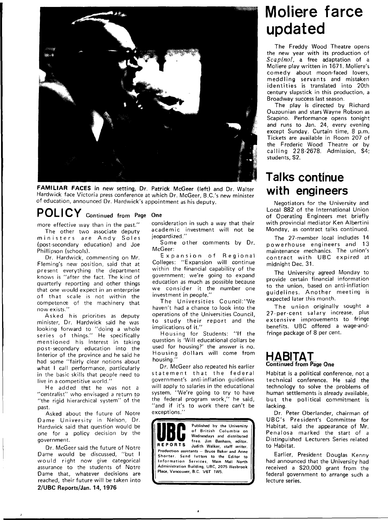

**FAMILIAR FACES in new setting, Dr. Patrick McGeer (left)** and **Dr.** Walter Hardwick face Victoria press conference at which Dr. McGeer, B.C.'s new minister of education, announced Dr. Hardwick's appointment as his deputy.

## **POLICY Continued from Page One**

more effective way than in the past." The other two associate deputy

ministers are Andy Soles (post-secondary education) and Joe Phillipson (schools).

Dr. Hardwick, commenting on Mr. Fleming's new position, said that at present everything the department knows is "after the fact. The kind of quarterly reporting and other things that one would expect in an enterprise of that scale is not within the competence of the machinery that now exists."

Asked his priorities as deputy minister, Dr. Hardwick said he was looking forward to "doing a whole series of things." He specifically mentioned his interest in taking post-secondary education into the Interior of the province and he said he had some "fairly clear notions about what I call performance, particularly in the basic skills that people need to live in a competitive world."

He added that he was not a "centralist" who envisaged a return to "the rigid hierarchical system" of the past.

Asked about the future of Notre Dame University in Nelson, Dr. Hardwick said that question would be one for a policy decision by the government.

Dr. McGeer said the future of Notre Dame would be discussed, "but I would right now give categorical assurance to the students of Notre Dame that, whatever decisions are reached, their future will be taken into **2/UBC Reports/Jan. 14, 1976** 

consideration in such a way that their academic investment will not be jeopardized."

Some other comments by Dr. McGeer:

Expansion of Regional Colleges: "Expansion will continue within the financial capability of the government; we're going to expand education as much as possible because we consider it the number one investment in people."

The Universities Council:''We haven't had a chance to look into the operations of the Universities Council, to study their report and the implications of it."

Housing for Students: "If the question is 'Will educational dollars be used for housing?' the answer is no. Housing dollars will come from housing."

Dr. McGeer also repeated his earlier statement that the federal government's anti-inflation guidelines will apply to salaries in the educational system. "We're going to try to have the federal program work," he said, "and if it's to work there can't be exceptions."

Published by the University **111( 1 D** of British Columbia on **^l^l^ l** Wednesdays and distributed **REPORTS** free. Jim Banham, editor.<br> **REPORTS** Judith Walker, staff writer. Production assistants — Bruce Baker and Anne Shorter. Send letters to the Editor to Information Services, Main Mall North Administration Building, UBC, 2075 Wesbrook Place, Vancouver, B.C. V6T 1W5.

# **Moliere farce updated**

The Freddy Wood Theatre opens the new year with its production of Scapino!, a free adaptation of a Moliere play written in 1671. Moliere's comedy about moon-faced lovers, meddling servants and mistaken identities is translated into 20th century slapstick in this production, a Broadway success last season.

The play is directed by Richard Ouzounian and stars Wayne Robson as Scapino. Performance opens tonight and runs to Jan. 24, every evening except Sunday. Curtain time, 8 p.m. Tickets are available in Room 207 of the Frederic Wood Theatre or by calling 228-2678. Admission, \$4: students, \$2.

## **Talks continue with engineers**

Negotiators for the University and Local 882 of the International Union of Operating Engineers met briefly with provincial mediator Ken Albertini Monday, as contract talks continued.

The 27-member local includes 14 powerhouse engineers and 13 maintenance mechanics. The union's contract with UBC expired at midnight Dec. 31.

The University agreed Monday to provide certain financial information to the union, based on anti-inflation guidelines. Another meeting is expected later this month.

The union originally sought a 27-per-cent salary increase, plus extensive improvements to fringe benefits. UBC offered a wage-andfringe package of 8 per cent.

#### **HABITAT Continued from Page One**

Habitat is a political conference, not a technical conference. He said the technology to solve the problems of human settlements is already available, but the political commitment is lacking.

Dr. Peter Oberlander, chairman of UBC's President's Committee for Habitat, said the appearance of Mr. Penalosa marked the start of a Distinguished Lecturers Series related to Habitat.

Earlier, President Douglas Kenny had announced that the University had received a \$20,000 grant from the federal government to arrange such a lecture series.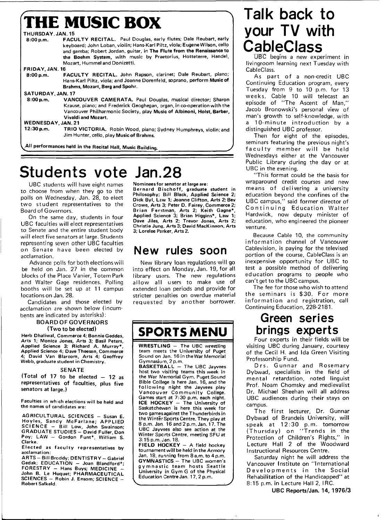|                           | <b>THE MUSIC BOX</b>                                                                                                                                                                                                                                                                                                         |
|---------------------------|------------------------------------------------------------------------------------------------------------------------------------------------------------------------------------------------------------------------------------------------------------------------------------------------------------------------------|
| THURSDAY, JAN. 15         |                                                                                                                                                                                                                                                                                                                              |
| 8:00 p.m.                 | FACULTY RECITAL. Paul Douglas, early flutes; Dale Reubart, early<br>keyboard; John Loban, violin; Hans-Karl Piltz, viola; Eugene Wilson, cello<br>and gamba; Robert Jordan, guitar, in The Flute from the Renaissance to<br>the Boehm System, with music by Praetorius, Hotteterre, Handel,<br>Mozart, Hummel and Donizetti. |
| FRIDAY, JAN. 16           |                                                                                                                                                                                                                                                                                                                              |
| 8:00 p.m.                 | FACULTY RECITAL. John Rapson, clarinet; Dale Reubart, piano;<br>Hans-Karl Piltz, viola; and Joanne Dorenfeld, soprano, perform Music of<br>Brahms, Mozart, Berg and Spohr.                                                                                                                                                   |
| SATURDAY, JAN. 17         |                                                                                                                                                                                                                                                                                                                              |
| 8:00 p.m.                 | <b>VANCOUVER CAMERATA.</b> Paul Douglas, musical director; Sharon<br>Krause, piano; and Frederick Geoghegan, organ, in co-operation with the<br>Vancouver Philharmonic Society, play Music of Albinoni, Holst, Barber,<br><b>Vivaldi and Mozart.</b>                                                                         |
| <b>WEDNESDAY, JAN. 21</b> |                                                                                                                                                                                                                                                                                                                              |
| 12:30 p.m.                | TRIO VICTORIA. Robin Wood, piano; Sydney Humphreys, violin; and<br>Jim Hunter, cello, play Music of Brahms.                                                                                                                                                                                                                  |

# **Students vote Jan.28**

UBC students will have eight names to choose from when they go to the polls on Wednesday, Jan. 28, to elect two student representatives to the Board of Governors.

On the same day, students in four UBC faculties will elect representatives to Senate and the entire student body will elect five senators at large. Students representing seven other UBC faculties on Senate have been elected by acclamation.

Advance polls for both elections will be held on Jan. 27 in the common blocks of the Place Vanier, Totem Park and Walter Gage residences. Polling booths will be set up at 11 campus locations on Jan. 28.

Candidates and those elected by acclamation are shown below (incumbents are indicated by asterisks):

#### BOARD OF GOVERNORS (Two to be elected)

Herb Dhaliwal, Commerce 4; Bonnie Geddes, Arts 1; Monica Jones, Arts 3; Basil Peters, Applied Science 3; Richard A. Murray\*, Applied Science 4; Dave Theesen, Commerce 4; David Van Blarcom, Arts 4; Geoffrey Webb, graduate student in Chemistry.

#### SENATE

(Total of 17 to be elected  $-$  12 as representatives of faculties, plus five senators at large.)

Faculties in which elections will be held and the names of candidates are:

AGRICULTURAL SCIENCES - Susan E. Hoyles, Sandy McFarlane; APPLIED<br>SCIENCE — Bill Low, John Swainson; GRADUATE STUDIES - David Fuller, Don Poy; LAW - Gordon Funt\*, William S. Clarke.

Elected as faculty representatives by acclamation:

ARTS - Bill Broddy; DENTISTRY - Gabriel Gedak;  $EDUCATION - Joan Blandford*;$  $FORESTRY - Hans Buys; MEDICINE -$ John B. Le Huquet; PHARMACEUTICAL SCIENCES - Robin J. Ensom; SCIENCE - Robert Salkeld.

Nominees for senator at large are: Bernard Bischoff, graduate student in

Philosophy; Bill Black, Applied Science 2; Dick Byl, Law 1; Joanne Clifton, Arts 2; Bev Crowe, Arts 3; Peter D. Fairey, Commerce 2; Brian Ferstman, Arts 2; Keith Gagne\*, Applied Science 3; Brian Higgins\*, Law 1; Dave Jiles, Arts 2; Trevor Jones, Arts 2; Christie June), Arts 3; David MacKinnon, Arts 3; Lorelee Parker, Arts 2.

### **New rules soon**

New library loan regulations will go into effect on Monday, Jan. 19, for all library users. The new regulations allow all users to make use of extended loan periods and provide for stricter penalties on overdue material requested by another borrower.

## **SPORTS MENU**

WRESTLING - The UBC wrestling team meets the University of Puget Sound on Jan. 16 in the War Memorial

Gymnasium, 2 p.m.<br>**BASKETBALL** — The UBC Jayvees host two visiting teams this week in the War Memorial Gym. Puget Sound Bible College is here Jan. 16, and the following night the Jayvees play Vancouver Community College. Games start at 7:30 p.m. each night. ICE HOCKEY - The University of Saskatchewan is here this week for two games against the Thunderbirds in the Winter Sports Centre. They play at 8 p.m. Jan 16 and 2 p.m. Jan. 17. The UBC Jayvees also see action at the Winter Sports Centre, meeting SFU at 3:15 p.m. Jan. 18.

FIELD HOCKEY -- A field hockey tournament will be held in the Armory Jan. 18, running from 8 a.m. to 4 p.m. GYMNASTICS - The UBC women's gymnastic team hosts Seattle University in Gym G of the Physical Education Centre Jan. 17,2 p.m.

# **Talk back to your TV with CableClass**

UBC begins a new experiment in livingroom learning next Tuesday with CableClass.

As part of a non-credit UBC Continuing Education program, every Tuesday from 9 to 10 p.m. for 13 weeks, Cable 10 will telecast an episode of "The Ascent of Man," Jacob Bronowski's personal view of man's growth to self-knowledge, with a 10-minute introduction by a distinguished UBC professor.

Then for eight of the episodes, seminars featuring the previous night's faculty member will be held Wednesdays either at the Vancouver Public Library during the day or at UBC in the evening.

"This format could be the basis for wraparound credit courses and new means of delivering a university education beyond the confines of the UBC campus," said former director of Continuing Education Walter Hardwick, now deputy minister of education, who engineered the pioneer venture.

Because Cable 10, the community information channel of Vancouver Cablevision, is paying for the televised portion of the course, CableClass is an inexpensive opportunity for UBC to test a possible method of delivering education programs to people who can't get to the UBC campus.

The fee for those who wish to attend the seminars is \$30 . For more information and registration, call Continuing Education, 228-2181.

### **Green series brings experts**

Four experts in their fields will be visiting UBC during January, courtesy of the Cecil H. and Ida Green Visiting Professorship Fund.

Drs. Gunnar and Rosemary Dybwad, specialists in the field of mental retardation, noted linguist Prof. Noam Chomsky and medievalist Dr. Michael Sheehan will all address UBC audiences during their stays on campus.

The first lecturer, Dr. Gunnar Dybwad of Brandeis University, will speak at 12:30 p.m. tomorrow (Thursday) on "Trends in the Protection of Children's Rights," in Lecture Hall 2 of the Woodward Instructional Resources Centre.

Saturday night he will address the Vancouver Institute on "International Developments in the Social Rehabilitation of the Handicapped" at 8:15 p.m. in Lecture Hall 2, IRC.

UBC Reports/Jan. 14, 1976/3